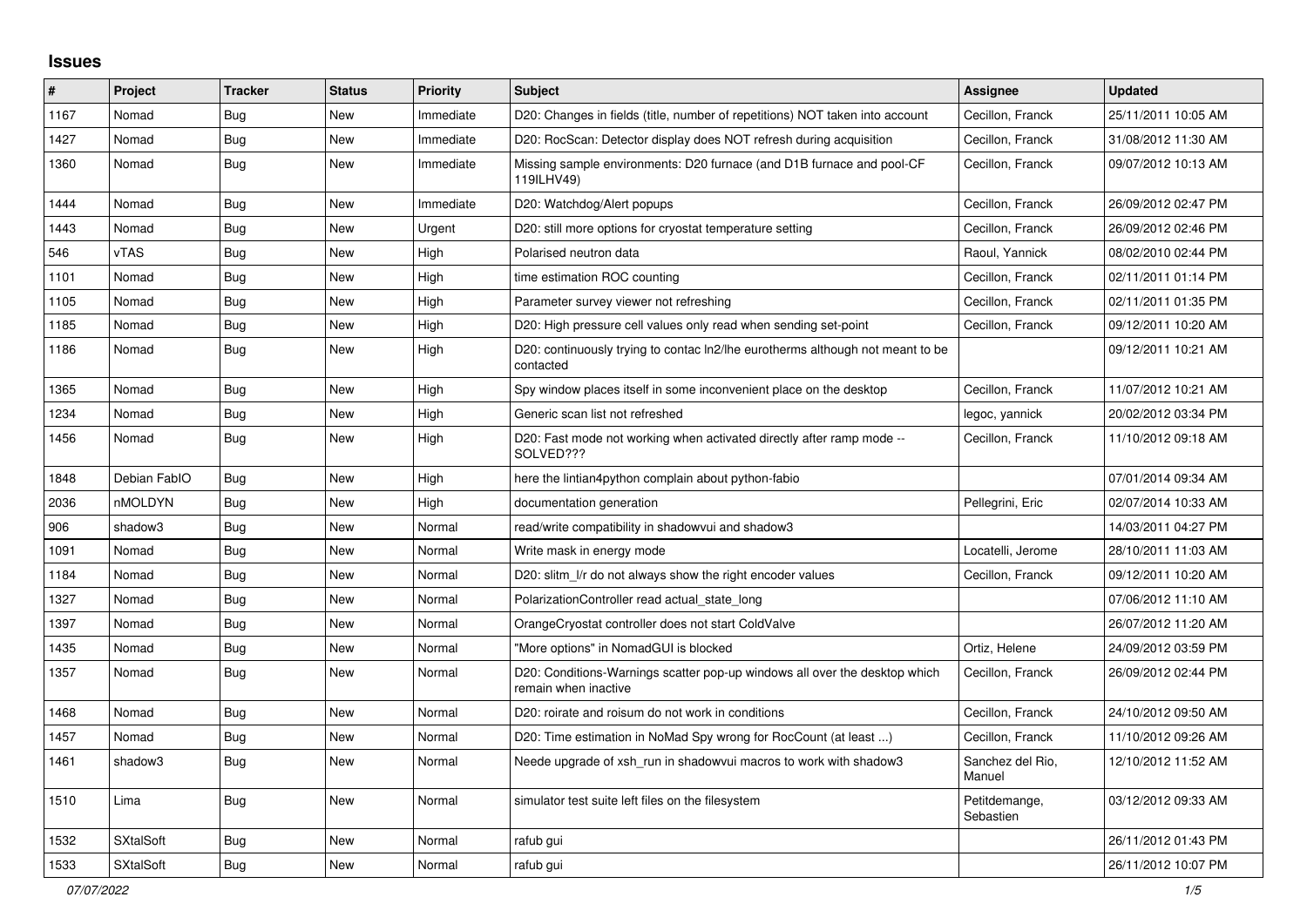## **Issues**

| ∥ #  | Project          | <b>Tracker</b> | <b>Status</b> | Priority  | <b>Subject</b>                                                                                     | <b>Assignee</b>            | <b>Updated</b>      |
|------|------------------|----------------|---------------|-----------|----------------------------------------------------------------------------------------------------|----------------------------|---------------------|
| 1167 | Nomad            | <b>Bug</b>     | <b>New</b>    | Immediate | D20: Changes in fields (title, number of repetitions) NOT taken into account                       | Cecillon, Franck           | 25/11/2011 10:05 AM |
| 1427 | Nomad            | Bug            | <b>New</b>    | Immediate | D20: RocScan: Detector display does NOT refresh during acquisition                                 | Cecillon, Franck           | 31/08/2012 11:30 AM |
| 1360 | Nomad            | <b>Bug</b>     | <b>New</b>    | Immediate | Missing sample environments: D20 furnace (and D1B furnace and pool-CF<br>119ILHV49)                | Cecillon, Franck           | 09/07/2012 10:13 AM |
| 1444 | Nomad            | <b>Bug</b>     | <b>New</b>    | Immediate | D20: Watchdog/Alert popups                                                                         | Cecillon, Franck           | 26/09/2012 02:47 PM |
| 1443 | Nomad            | <b>Bug</b>     | <b>New</b>    | Urgent    | D20: still more options for cryostat temperature setting                                           | Cecillon, Franck           | 26/09/2012 02:46 PM |
| 546  | <b>vTAS</b>      | <b>Bug</b>     | <b>New</b>    | High      | Polarised neutron data                                                                             | Raoul, Yannick             | 08/02/2010 02:44 PM |
| 1101 | Nomad            | Bug            | <b>New</b>    | High      | time estimation ROC counting                                                                       | Cecillon, Franck           | 02/11/2011 01:14 PM |
| 1105 | Nomad            | <b>Bug</b>     | New           | High      | Parameter survey viewer not refreshing                                                             | Cecillon, Franck           | 02/11/2011 01:35 PM |
| 1185 | Nomad            | Bug            | New           | High      | D20: High pressure cell values only read when sending set-point                                    | Cecillon, Franck           | 09/12/2011 10:20 AM |
| 1186 | Nomad            | Bug            | <b>New</b>    | High      | D20: continuously trying to contac ln2/lhe eurotherms although not meant to be<br>contacted        |                            | 09/12/2011 10:21 AM |
| 1365 | Nomad            | <b>Bug</b>     | <b>New</b>    | High      | Spy window places itself in some inconvenient place on the desktop                                 | Cecillon, Franck           | 11/07/2012 10:21 AM |
| 1234 | Nomad            | <b>Bug</b>     | New           | High      | Generic scan list not refreshed                                                                    | legoc, yannick             | 20/02/2012 03:34 PM |
| 1456 | Nomad            | Bug            | <b>New</b>    | High      | D20: Fast mode not working when activated directly after ramp mode --<br>SOLVED???                 | Cecillon, Franck           | 11/10/2012 09:18 AM |
| 1848 | Debian FablO     | <b>Bug</b>     | <b>New</b>    | High      | here the lintian4python complain about python-fabio                                                |                            | 07/01/2014 09:34 AM |
| 2036 | nMOLDYN          | Bug            | <b>New</b>    | High      | documentation generation                                                                           | Pellegrini, Eric           | 02/07/2014 10:33 AM |
| 906  | shadow3          | <b>Bug</b>     | New           | Normal    | read/write compatibility in shadowvui and shadow3                                                  |                            | 14/03/2011 04:27 PM |
| 1091 | Nomad            | <b>Bug</b>     | <b>New</b>    | Normal    | Write mask in energy mode                                                                          | Locatelli, Jerome          | 28/10/2011 11:03 AM |
| 1184 | Nomad            | <b>Bug</b>     | <b>New</b>    | Normal    | D20: slitm_l/r do not always show the right encoder values                                         | Cecillon, Franck           | 09/12/2011 10:20 AM |
| 1327 | Nomad            | <b>Bug</b>     | <b>New</b>    | Normal    | PolarizationController read actual state long                                                      |                            | 07/06/2012 11:10 AM |
| 1397 | Nomad            | Bug            | New           | Normal    | OrangeCryostat controller does not start ColdValve                                                 |                            | 26/07/2012 11:20 AM |
| 1435 | Nomad            | <b>Bug</b>     | <b>New</b>    | Normal    | "More options" in NomadGUI is blocked                                                              | Ortiz, Helene              | 24/09/2012 03:59 PM |
| 1357 | Nomad            | <b>Bug</b>     | <b>New</b>    | Normal    | D20: Conditions-Warnings scatter pop-up windows all over the desktop which<br>remain when inactive | Cecillon, Franck           | 26/09/2012 02:44 PM |
| 1468 | Nomad            | <b>Bug</b>     | <b>New</b>    | Normal    | D20: roirate and roisum do not work in conditions                                                  | Cecillon, Franck           | 24/10/2012 09:50 AM |
| 1457 | Nomad            | <b>Bug</b>     | <b>New</b>    | Normal    | D20: Time estimation in NoMad Spy wrong for RocCount (at least )                                   | Cecillon, Franck           | 11/10/2012 09:26 AM |
| 1461 | shadow3          | Bug            | New           | Normal    | Neede upgrade of xsh run in shadowyui macros to work with shadow3                                  | Sanchez del Rio.<br>Manuel | 12/10/2012 11:52 AM |
| 1510 | Lima             | <b>Bug</b>     | <b>New</b>    | Normal    | simulator test suite left files on the filesystem                                                  | Petitdemange,<br>Sebastien | 03/12/2012 09:33 AM |
| 1532 | <b>SXtalSoft</b> | <b>Bug</b>     | New           | Normal    | rafub gui                                                                                          |                            | 26/11/2012 01:43 PM |
| 1533 | <b>SXtalSoft</b> | <b>Bug</b>     | <b>New</b>    | Normal    | rafub gui                                                                                          |                            | 26/11/2012 10:07 PM |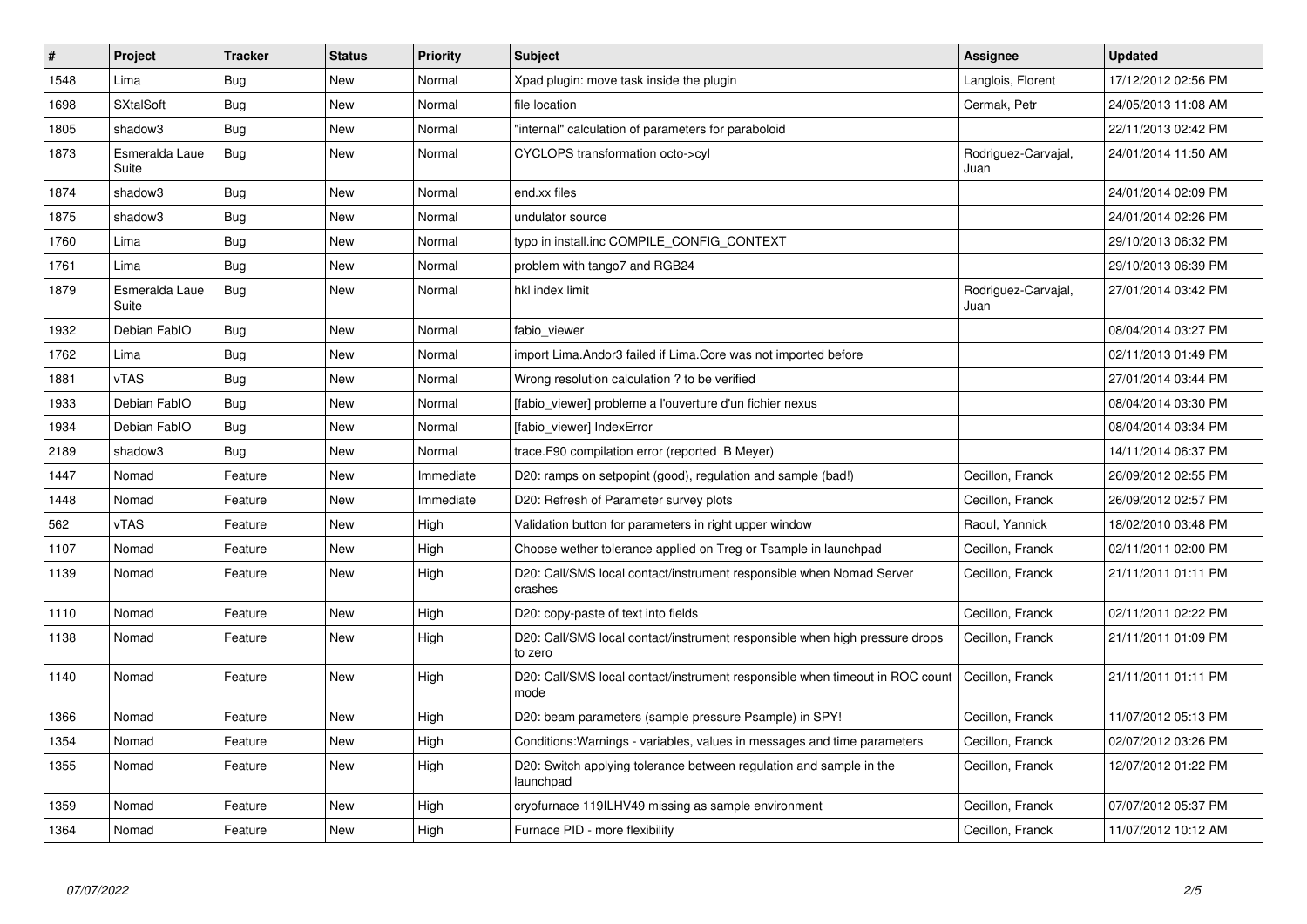| $\vert$ # | Project                 | <b>Tracker</b> | <b>Status</b> | <b>Priority</b> | <b>Subject</b>                                                                         | Assignee                    | <b>Updated</b>      |
|-----------|-------------------------|----------------|---------------|-----------------|----------------------------------------------------------------------------------------|-----------------------------|---------------------|
| 1548      | Lima                    | <b>Bug</b>     | <b>New</b>    | Normal          | Xpad plugin: move task inside the plugin                                               | Langlois, Florent           | 17/12/2012 02:56 PM |
| 1698      | <b>SXtalSoft</b>        | <b>Bug</b>     | <b>New</b>    | Normal          | file location                                                                          | Cermak, Petr                | 24/05/2013 11:08 AM |
| 1805      | shadow3                 | Bug            | <b>New</b>    | Normal          | "internal" calculation of parameters for paraboloid                                    |                             | 22/11/2013 02:42 PM |
| 1873      | Esmeralda Laue<br>Suite | Bug            | <b>New</b>    | Normal          | CYCLOPS transformation octo->cyl                                                       | Rodriguez-Carvajal,<br>Juan | 24/01/2014 11:50 AM |
| 1874      | shadow3                 | Bug            | <b>New</b>    | Normal          | end.xx files                                                                           |                             | 24/01/2014 02:09 PM |
| 1875      | shadow3                 | <b>Bug</b>     | <b>New</b>    | Normal          | undulator source                                                                       |                             | 24/01/2014 02:26 PM |
| 1760      | Lima                    | <b>Bug</b>     | <b>New</b>    | Normal          | typo in install.inc COMPILE_CONFIG_CONTEXT                                             |                             | 29/10/2013 06:32 PM |
| 1761      | Lima                    | <b>Bug</b>     | <b>New</b>    | Normal          | problem with tango7 and RGB24                                                          |                             | 29/10/2013 06:39 PM |
| 1879      | Esmeralda Laue<br>Suite | Bug            | New           | Normal          | hkl index limit                                                                        | Rodriguez-Carvajal,<br>Juan | 27/01/2014 03:42 PM |
| 1932      | Debian FablO            | Bug            | <b>New</b>    | Normal          | fabio viewer                                                                           |                             | 08/04/2014 03:27 PM |
| 1762      | Lima                    | Bug            | New           | Normal          | import Lima. Andor 3 failed if Lima. Core was not imported before                      |                             | 02/11/2013 01:49 PM |
| 1881      | vTAS                    | <b>Bug</b>     | <b>New</b>    | Normal          | Wrong resolution calculation ? to be verified                                          |                             | 27/01/2014 03:44 PM |
| 1933      | Debian FablO            | <b>Bug</b>     | <b>New</b>    | Normal          | [fabio viewer] probleme a l'ouverture d'un fichier nexus                               |                             | 08/04/2014 03:30 PM |
| 1934      | Debian FablO            | <b>Bug</b>     | New           | Normal          | [fabio_viewer] IndexError                                                              |                             | 08/04/2014 03:34 PM |
| 2189      | shadow3                 | <b>Bug</b>     | <b>New</b>    | Normal          | trace. F90 compilation error (reported B Meyer)                                        |                             | 14/11/2014 06:37 PM |
| 1447      | Nomad                   | Feature        | <b>New</b>    | Immediate       | D20: ramps on setpopint (good), regulation and sample (bad!)                           | Cecillon, Franck            | 26/09/2012 02:55 PM |
| 1448      | Nomad                   | Feature        | <b>New</b>    | Immediate       | D20: Refresh of Parameter survey plots                                                 | Cecillon, Franck            | 26/09/2012 02:57 PM |
| 562       | vTAS                    | Feature        | <b>New</b>    | High            | Validation button for parameters in right upper window                                 | Raoul, Yannick              | 18/02/2010 03:48 PM |
| 1107      | Nomad                   | Feature        | New           | High            | Choose wether tolerance applied on Treg or Tsample in launchpad                        | Cecillon, Franck            | 02/11/2011 02:00 PM |
| 1139      | Nomad                   | Feature        | <b>New</b>    | High            | D20: Call/SMS local contact/instrument responsible when Nomad Server<br>crashes        | Cecillon, Franck            | 21/11/2011 01:11 PM |
| 1110      | Nomad                   | Feature        | <b>New</b>    | High            | D20: copy-paste of text into fields                                                    | Cecillon, Franck            | 02/11/2011 02:22 PM |
| 1138      | Nomad                   | Feature        | <b>New</b>    | High            | D20: Call/SMS local contact/instrument responsible when high pressure drops<br>to zero | Cecillon, Franck            | 21/11/2011 01:09 PM |
| 1140      | Nomad                   | Feature        | New           | High            | D20: Call/SMS local contact/instrument responsible when timeout in ROC count<br>mode   | Cecillon, Franck            | 21/11/2011 01:11 PM |
| 1366      | Nomad                   | Feature        | <b>New</b>    | High            | D20: beam parameters (sample pressure Psample) in SPY!                                 | Cecillon, Franck            | 11/07/2012 05:13 PM |
| 1354      | Nomad                   | Feature        | New           | High            | Conditions: Warnings - variables, values in messages and time parameters               | Cecillon, Franck            | 02/07/2012 03:26 PM |
| 1355      | Nomad                   | Feature        | <b>New</b>    | High            | D20: Switch applying tolerance between regulation and sample in the<br>launchpad       | Cecillon, Franck            | 12/07/2012 01:22 PM |
| 1359      | Nomad                   | Feature        | <b>New</b>    | High            | cryofurnace 119ILHV49 missing as sample environment                                    | Cecillon, Franck            | 07/07/2012 05:37 PM |
| 1364      | Nomad                   | Feature        | <b>New</b>    | High            | Furnace PID - more flexibility                                                         | Cecillon, Franck            | 11/07/2012 10:12 AM |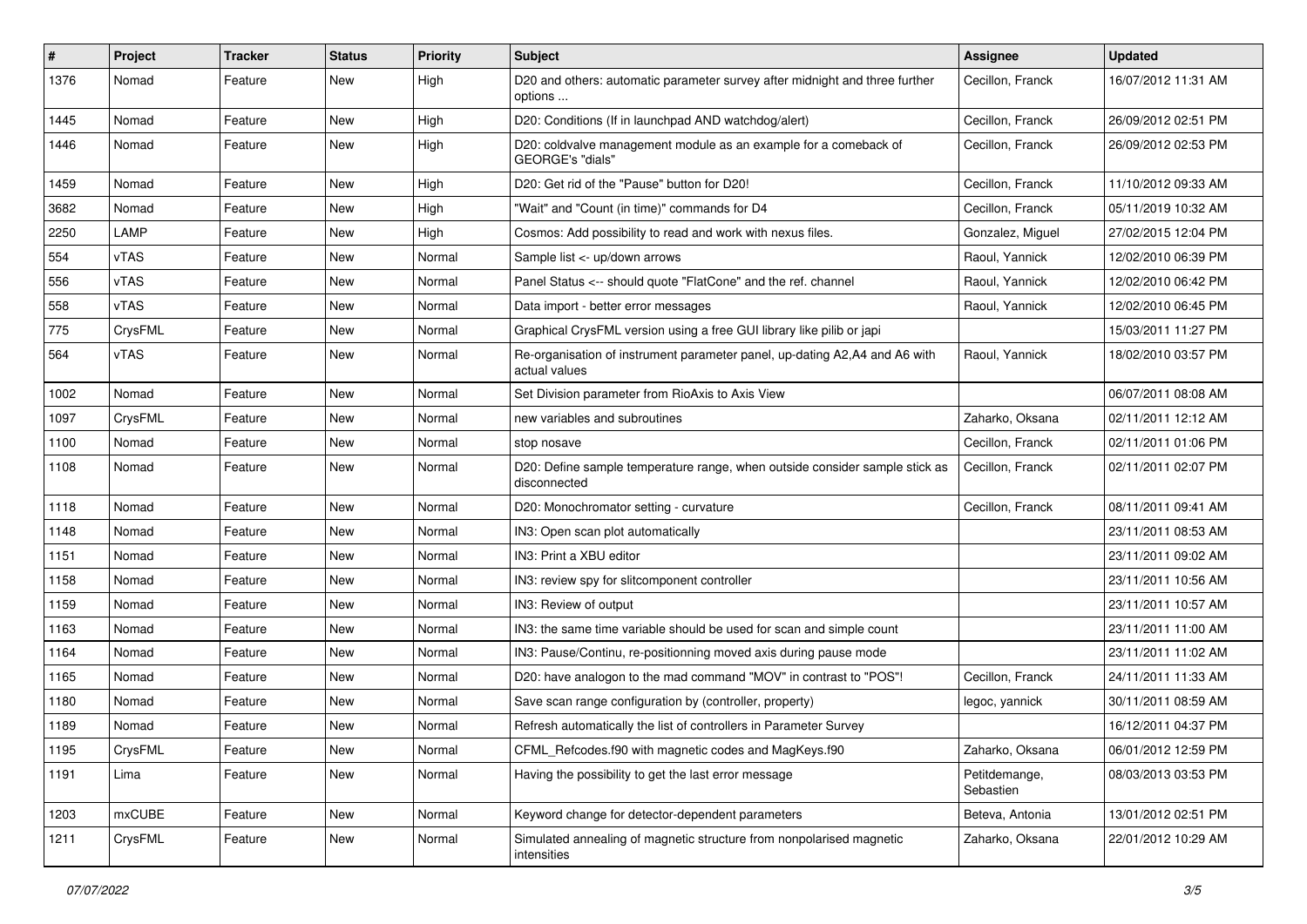| #    | Project       | <b>Tracker</b> | <b>Status</b> | <b>Priority</b> | <b>Subject</b>                                                                               | Assignee                   | <b>Updated</b>      |
|------|---------------|----------------|---------------|-----------------|----------------------------------------------------------------------------------------------|----------------------------|---------------------|
| 1376 | Nomad         | Feature        | New           | High            | D20 and others: automatic parameter survey after midnight and three further<br>options       | Cecillon, Franck           | 16/07/2012 11:31 AM |
| 1445 | Nomad         | Feature        | New           | High            | D20: Conditions (If in launchpad AND watchdog/alert)                                         | Cecillon, Franck           | 26/09/2012 02:51 PM |
| 1446 | Nomad         | Feature        | New           | High            | D20: coldvalve management module as an example for a comeback of<br>GEORGE's "dials"         | Cecillon, Franck           | 26/09/2012 02:53 PM |
| 1459 | Nomad         | Feature        | New           | High            | D20: Get rid of the "Pause" button for D20!                                                  | Cecillon, Franck           | 11/10/2012 09:33 AM |
| 3682 | Nomad         | Feature        | New           | High            | "Wait" and "Count (in time)" commands for D4                                                 | Cecillon, Franck           | 05/11/2019 10:32 AM |
| 2250 | LAMP          | Feature        | New           | High            | Cosmos: Add possibility to read and work with nexus files.                                   | Gonzalez, Miguel           | 27/02/2015 12:04 PM |
| 554  | vTAS          | Feature        | New           | Normal          | Sample list <- up/down arrows                                                                | Raoul, Yannick             | 12/02/2010 06:39 PM |
| 556  | vTAS          | Feature        | New           | Normal          | Panel Status <-- should quote "FlatCone" and the ref. channel                                | Raoul, Yannick             | 12/02/2010 06:42 PM |
| 558  | vTAS          | Feature        | New           | Normal          | Data import - better error messages                                                          | Raoul, Yannick             | 12/02/2010 06:45 PM |
| 775  | CrysFML       | Feature        | New           | Normal          | Graphical CrysFML version using a free GUI library like pilib or japi                        |                            | 15/03/2011 11:27 PM |
| 564  | vTAS          | Feature        | New           | Normal          | Re-organisation of instrument parameter panel, up-dating A2, A4 and A6 with<br>actual values | Raoul, Yannick             | 18/02/2010 03:57 PM |
| 1002 | Nomad         | Feature        | New           | Normal          | Set Division parameter from RioAxis to Axis View                                             |                            | 06/07/2011 08:08 AM |
| 1097 | CrysFML       | Feature        | New           | Normal          | new variables and subroutines                                                                | Zaharko, Oksana            | 02/11/2011 12:12 AM |
| 1100 | Nomad         | Feature        | New           | Normal          | stop nosave                                                                                  | Cecillon, Franck           | 02/11/2011 01:06 PM |
| 1108 | Nomad         | Feature        | New           | Normal          | D20: Define sample temperature range, when outside consider sample stick as<br>disconnected  | Cecillon, Franck           | 02/11/2011 02:07 PM |
| 1118 | Nomad         | Feature        | New           | Normal          | D20: Monochromator setting - curvature                                                       | Cecillon, Franck           | 08/11/2011 09:41 AM |
| 1148 | Nomad         | Feature        | New           | Normal          | IN3: Open scan plot automatically                                                            |                            | 23/11/2011 08:53 AM |
| 1151 | Nomad         | Feature        | New           | Normal          | IN3: Print a XBU editor                                                                      |                            | 23/11/2011 09:02 AM |
| 1158 | Nomad         | Feature        | New           | Normal          | IN3: review spy for slitcomponent controller                                                 |                            | 23/11/2011 10:56 AM |
| 1159 | Nomad         | Feature        | New           | Normal          | IN3: Review of output                                                                        |                            | 23/11/2011 10:57 AM |
| 1163 | Nomad         | Feature        | New           | Normal          | IN3: the same time variable should be used for scan and simple count                         |                            | 23/11/2011 11:00 AM |
| 1164 | Nomad         | Feature        | New           | Normal          | IN3: Pause/Continu, re-positionning moved axis during pause mode                             |                            | 23/11/2011 11:02 AM |
| 1165 | Nomad         | Feature        | New           | Normal          | D20: have analogon to the mad command "MOV" in contrast to "POS"!                            | Cecillon, Franck           | 24/11/2011 11:33 AM |
| 1180 | Nomad         | Feature        | New           | Normal          | Save scan range configuration by (controller, property)                                      | legoc, yannick             | 30/11/2011 08:59 AM |
| 1189 | Nomad         | Feature        | New           | Normal          | Refresh automatically the list of controllers in Parameter Survey                            |                            | 16/12/2011 04:37 PM |
| 1195 | CrysFML       | Feature        | New           | Normal          | CFML_Refcodes.f90 with magnetic codes and MagKeys.f90                                        | Zaharko, Oksana            | 06/01/2012 12:59 PM |
| 1191 | Lima          | Feature        | New           | Normal          | Having the possibility to get the last error message                                         | Petitdemange,<br>Sebastien | 08/03/2013 03:53 PM |
| 1203 | <b>mxCUBE</b> | Feature        | New           | Normal          | Keyword change for detector-dependent parameters                                             | Beteva, Antonia            | 13/01/2012 02:51 PM |
| 1211 | CrysFML       | Feature        | New           | Normal          | Simulated annealing of magnetic structure from nonpolarised magnetic<br>intensities          | Zaharko, Oksana            | 22/01/2012 10:29 AM |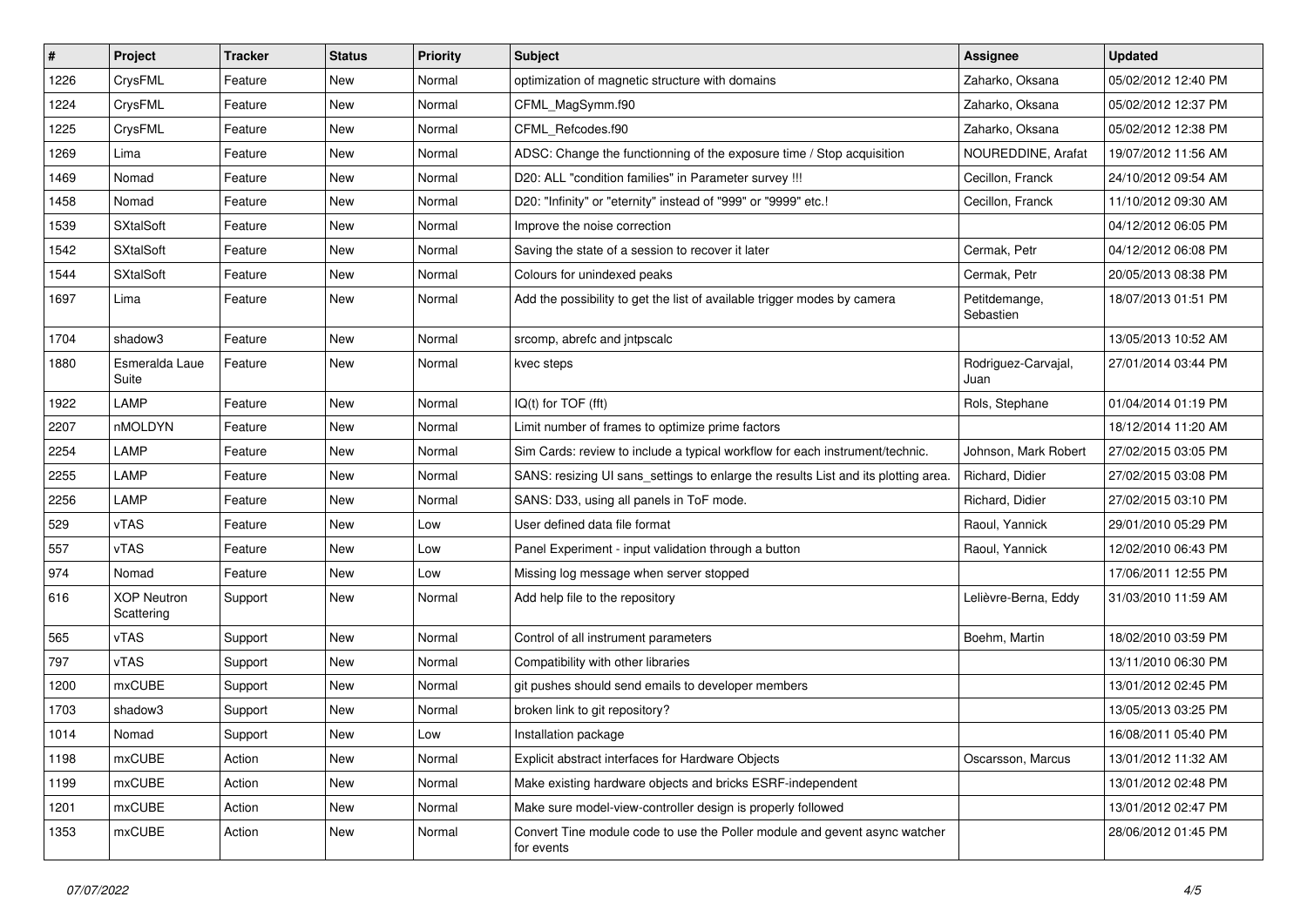| $\vert$ # | Project                          | <b>Tracker</b> | <b>Status</b> | <b>Priority</b> | <b>Subject</b>                                                                           | <b>Assignee</b>             | <b>Updated</b>      |
|-----------|----------------------------------|----------------|---------------|-----------------|------------------------------------------------------------------------------------------|-----------------------------|---------------------|
| 1226      | CrysFML                          | Feature        | New           | Normal          | optimization of magnetic structure with domains                                          | Zaharko, Oksana             | 05/02/2012 12:40 PM |
| 1224      | CrysFML                          | Feature        | New           | Normal          | CFML_MagSymm.f90                                                                         | Zaharko, Oksana             | 05/02/2012 12:37 PM |
| 1225      | CrysFML                          | Feature        | New           | Normal          | CFML Refcodes.f90                                                                        | Zaharko, Oksana             | 05/02/2012 12:38 PM |
| 1269      | Lima                             | Feature        | New           | Normal          | ADSC: Change the functionning of the exposure time / Stop acquisition                    | NOUREDDINE, Arafat          | 19/07/2012 11:56 AM |
| 1469      | Nomad                            | Feature        | New           | Normal          | D20: ALL "condition families" in Parameter survey !!!                                    | Cecillon, Franck            | 24/10/2012 09:54 AM |
| 1458      | Nomad                            | Feature        | New           | Normal          | D20: "Infinity" or "eternity" instead of "999" or "9999" etc.!                           | Cecillon, Franck            | 11/10/2012 09:30 AM |
| 1539      | <b>SXtalSoft</b>                 | Feature        | New           | Normal          | Improve the noise correction                                                             |                             | 04/12/2012 06:05 PM |
| 1542      | <b>SXtalSoft</b>                 | Feature        | New           | Normal          | Saving the state of a session to recover it later                                        | Cermak. Petr                | 04/12/2012 06:08 PM |
| 1544      | <b>SXtalSoft</b>                 | Feature        | New           | Normal          | Colours for unindexed peaks                                                              | Cermak, Petr                | 20/05/2013 08:38 PM |
| 1697      | Lima                             | Feature        | New           | Normal          | Add the possibility to get the list of available trigger modes by camera                 | Petitdemange,<br>Sebastien  | 18/07/2013 01:51 PM |
| 1704      | shadow3                          | Feature        | New           | Normal          | srcomp, abrefc and intpscalc                                                             |                             | 13/05/2013 10:52 AM |
| 1880      | Esmeralda Laue<br>Suite          | Feature        | New           | Normal          | kvec steps                                                                               | Rodriguez-Carvajal,<br>Juan | 27/01/2014 03:44 PM |
| 1922      | LAMP                             | Feature        | New           | Normal          | IQ(t) for TOF (fft)                                                                      | Rols, Stephane              | 01/04/2014 01:19 PM |
| 2207      | nMOLDYN                          | Feature        | New           | Normal          | Limit number of frames to optimize prime factors                                         |                             | 18/12/2014 11:20 AM |
| 2254      | LAMP                             | Feature        | New           | Normal          | Sim Cards: review to include a typical workflow for each instrument/technic.             | Johnson, Mark Robert        | 27/02/2015 03:05 PM |
| 2255      | LAMP                             | Feature        | New           | Normal          | SANS: resizing UI sans_settings to enlarge the results List and its plotting area.       | Richard, Didier             | 27/02/2015 03:08 PM |
| 2256      | LAMP                             | Feature        | New           | Normal          | SANS: D33, using all panels in ToF mode.                                                 | Richard, Didier             | 27/02/2015 03:10 PM |
| 529       | vTAS                             | Feature        | New           | Low             | User defined data file format                                                            | Raoul, Yannick              | 29/01/2010 05:29 PM |
| 557       | <b>vTAS</b>                      | Feature        | New           | Low             | Panel Experiment - input validation through a button                                     | Raoul, Yannick              | 12/02/2010 06:43 PM |
| 974       | Nomad                            | Feature        | New           | Low             | Missing log message when server stopped                                                  |                             | 17/06/2011 12:55 PM |
| 616       | <b>XOP Neutron</b><br>Scattering | Support        | New           | Normal          | Add help file to the repository                                                          | Lelièvre-Berna, Eddy        | 31/03/2010 11:59 AM |
| 565       | vTAS                             | Support        | New           | Normal          | Control of all instrument parameters                                                     | Boehm, Martin               | 18/02/2010 03:59 PM |
| 797       | <b>vTAS</b>                      | Support        | New           | Normal          | Compatibility with other libraries                                                       |                             | 13/11/2010 06:30 PM |
| 1200      | <b>mxCUBE</b>                    | Support        | New           | Normal          | git pushes should send emails to developer members                                       |                             | 13/01/2012 02:45 PM |
| 1703      | shadow3                          | Support        | New           | Normal          | broken link to git repository?                                                           |                             | 13/05/2013 03:25 PM |
| 1014      | Nomad                            | Support        | New           | Low             | Installation package                                                                     |                             | 16/08/2011 05:40 PM |
| 1198      | mxCUBE                           | Action         | New           | Normal          | Explicit abstract interfaces for Hardware Objects                                        | Oscarsson, Marcus           | 13/01/2012 11:32 AM |
| 1199      | mxCUBE                           | Action         | New           | Normal          | Make existing hardware objects and bricks ESRF-independent                               |                             | 13/01/2012 02:48 PM |
| 1201      | mxCUBE                           | Action         | New           | Normal          | Make sure model-view-controller design is properly followed                              |                             | 13/01/2012 02:47 PM |
| 1353      | mxCUBE                           | Action         | New           | Normal          | Convert Tine module code to use the Poller module and gevent async watcher<br>for events |                             | 28/06/2012 01:45 PM |